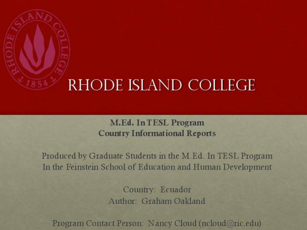

## RHODE ISLAND COLLEGE

M.Ed. In TESL Program **Country Informational Reports** 

Produced by Graduate Students in the M.Ed. In TESL Program In the Feinstein School of Education and Human Development

> Country: Ecuador Author: Graham Oakland

Program Contact Person: Nancy Cloud (ncloud@ric.edu)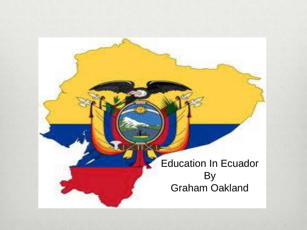Education In Ecuador By Graham Oakland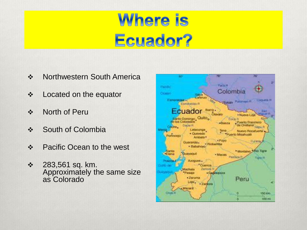## **Where is** Ecuador?

- ❖ Northwestern South America
- Located on the equator
- North of Peru
- ❖ South of Colombia
- Pacific Ocean to the west
- 283,561 sq. km. Approximately the same size as Colorado

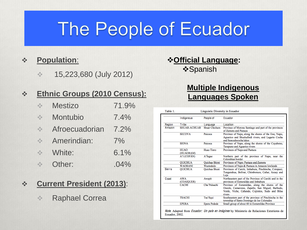## The People of Ecuador

#### **Population**:

 $\div$  15,223,680 (July 2012)

#### **Ethnic Groups (2010 Census):**

| <b>Mestizo</b> | 71.9% |
|----------------|-------|
| Montubio       | 7.4%  |
| Afroecuadorian | 7.2%  |
| Amerindian:    | 7%    |
| White:         | 6.1%  |
| Other:         | .04%  |

#### **Current President (2013)**:

Raphael Correa

#### **Official Language:** *❖***Spanish**

#### **Multiple Indigenous Languages Spoken**

| Table 1.<br>Linguistic Diversity in Ecuador |                     |                      |                                                                                                                                                                  |  |  |  |
|---------------------------------------------|---------------------|----------------------|------------------------------------------------------------------------------------------------------------------------------------------------------------------|--|--|--|
|                                             | Indigenous          | People of            | Ecuador                                                                                                                                                          |  |  |  |
| Region                                      | Tribe               | Language             | Location                                                                                                                                                         |  |  |  |
| Amazon                                      | <b>SHUAR-ACHUAR</b> | Shuar Chicham        | Province of Morona Santiago and part of the provinces<br>of Zamora and Pastaza                                                                                   |  |  |  |
|                                             | <b>SECOYA</b>       | Paicoca              | Province of Napo, along the shores of the Eno, Napo,<br>Aguarico and Shushufindi rivers, and Lagarto Cocha<br>and Sancudococha lakes                             |  |  |  |
|                                             | <b>SIONA</b>        | Paicoca              | Province of Napo, along the shores of the Cuyabeno,<br>Tarapuno and Aguarico rivers                                                                              |  |  |  |
|                                             | <b>HUAO</b>         | Huao Tinro           | Provinces of Napo and Pastaza                                                                                                                                    |  |  |  |
|                                             | (HUAORAM)           |                      |                                                                                                                                                                  |  |  |  |
|                                             | A'I (COFÁN)         | A'Ingae              | Northern part of the province of Napo, near the<br>Colombian border                                                                                              |  |  |  |
|                                             | <b>QUICHUA</b>      | <b>Ouichua Shimi</b> | Provinces of Napo, Pastaza and Zamora                                                                                                                            |  |  |  |
|                                             | <b>WAORANI</b>      | Wantededo            | Provinces of Napo & Pastaza in Amazon lowlands                                                                                                                   |  |  |  |
| <b>Sierra</b>                               | <b>OUICHUA</b>      | Ouichua Shuni        | Provinces of Carchi, Imbabura, Pinchincha, Cotopaxi,<br>Tungurahua, Bolívar, Chimborazo, Cañar, Azuay and<br>Loja                                                |  |  |  |
| Coast                                       | AWA<br>(COAIOUER)   | Awapit               | Northeastern part of the Province of Carchi and in the<br>provinces of Esmeraldas and Imbabura                                                                   |  |  |  |
|                                             | <b>CACHI</b>        | Cha'Palaachi         | Province of Esmeraldas, along the shores of the<br>Onzole, Camarones, Zapallo, San Miguel, Barbudo,<br>Verde, Viche, Cañando, Cojimies, Sudo and Bilsa<br>rivers |  |  |  |
|                                             | <b>TSACHI</b>       | Tsa'fiqui            | Southeastern part of the province of Pinchincha in the<br>township of Santo Domingo de los Colorados                                                             |  |  |  |
|                                             | <b>EPERA</b>        | <b>Epera Pedede</b>  | Small group of about 60 in Esmereldas Province                                                                                                                   |  |  |  |

*Note.* Adapted from *Ecuador: Un país en imágines* by Ministerio de Relaciones Exteriores de Ecuador, 2002.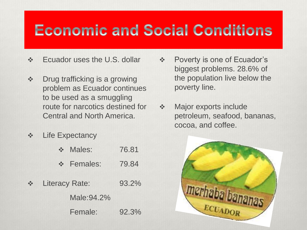### **Economic and Social Conditions**

- Ecuador uses the U.S. dollar
- Drug trafficking is a growing problem as Ecuador continues to be used as a smuggling route for narcotics destined for Central and North America.
- ❖ Life Expectancy

|                                        | ❖ Males:       | 76.81 |
|----------------------------------------|----------------|-------|
|                                        | ❖ Females:     | 79.84 |
| $\frac{\partial^2 \phi}{\partial x^2}$ | Literacy Rate: | 93.2% |
|                                        | Male: 94.2%    |       |
|                                        | Female:        | 92.3% |

- Poverty is one of Ecuador's biggest problems. 28.6% of the population live below the poverty line.
- ❖ Major exports include petroleum, seafood, bananas, cocoa, and coffee.

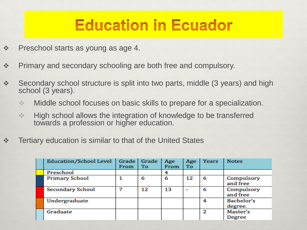### **Education in Ecuador**

- ❖ Preschool starts as young as age 4.
- Primary and secondary schooling are both free and compulsory.
- Secondary school structure is split into two parts, middle (3 years) and high school (3 years).
	- **Middle school focuses on basic skills to prepare for a specialization.**
	- **EXECUTE:** High school allows the integration of knowledge to be transferred towards a profession or higher education.
- Tertiary education is similar to that of the United States

| <b>Education/School Level</b> | Grade<br>From | Grade<br>To | Age<br>From | Age<br>To                | Years | <b>Notes</b>           |
|-------------------------------|---------------|-------------|-------------|--------------------------|-------|------------------------|
| Preschool                     |               |             | 4           |                          |       |                        |
| <b>Primary School</b>         |               | 6           | 6           | 12                       | 6     | Compulsory<br>and free |
| <b>Secondary School</b>       |               | 12          | 13          | $\overline{\phantom{a}}$ | 6     | Compulsory<br>and free |
| Undergraduate                 |               |             |             |                          | 4     | Bachelor's<br>degree.  |
| Graduate                      |               |             |             |                          | 2     | Master's<br>Degree     |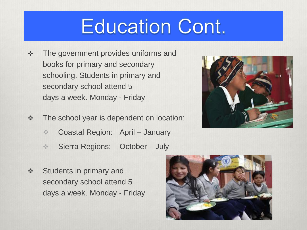## **Education Cont.**

- **❖** The government provides uniforms and books for primary and secondary schooling. Students in primary and secondary school attend 5 days a week. Monday - Friday
- The school year is dependent on location:
	- **Coastal Region: April January**
	- **Sierra Regions: October July**
- ❖ Students in primary and secondary school attend 5 days a week. Monday - Friday



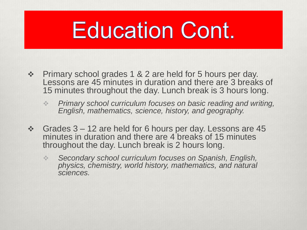# **Education Cont.**

- Primary school grades 1 & 2 are held for 5 hours per day. Lessons are 45 minutes in duration and there are 3 breaks of 15 minutes throughout the day. Lunch break is 3 hours long.
	- *Primary school curriculum focuses on basic reading and writing, English, mathematics, science, history, and geography.*
- Grades 3 12 are held for 6 hours per day. Lessons are 45 minutes in duration and there are 4 breaks of 15 minutes throughout the day. Lunch break is 2 hours long.
	- *Secondary school curriculum focuses on Spanish, English, physics, chemistry, world history, mathematics, and natural sciences.*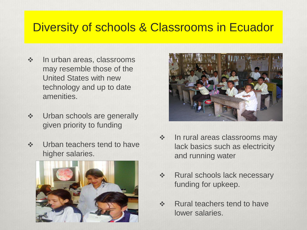### Diversity of schools & Classrooms in Ecuador

- $\div$  In urban areas, classrooms may resemble those of the United States with new technology and up to date amenities.
- **❖** Urban schools are generally given priority to funding
- **❖** Urban teachers tend to have higher salaries.





- **In rural areas classrooms may** lack basics such as electricity and running water
- ❖ Rural schools lack necessary funding for upkeep.
- ❖ Rural teachers tend to have lower salaries.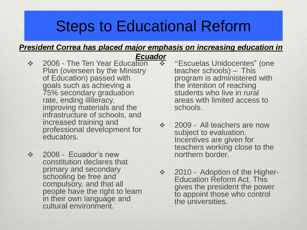### Steps to Educational Reform

#### *President Correa has placed major emphasis on increasing education in*

- ❖ 2006 The Ten Year Education Plan (overseen by the Ministry of Education) passed with goals such as achieving a 75% secondary graduation rate, ending illiteracy, improving materials and the infrastructure of schools, and increased training and professional development for educators. *Ecuador*
- ❖ 2008 Ecuador's new constitution declares that primary and secondary schooling be free and compulsory, and that all people have the right to learn in their own language and cultural environment.
- "Escuelas Unidocentes" (one teacher schools) – This program is administered with the intention of reaching students who live in rural areas with limited access to schools.
- ❖ 2009 All teachers are now subject to evaluation. Incentives are given for teachers working close to the northern border.
- 2010 Adoption of the Higher-Education Reform Act. This gives the president the power to appoint those who control the universities.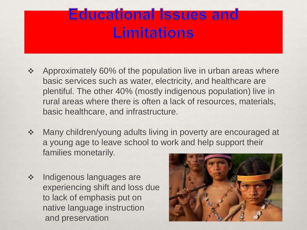### **Educational Issues and Limitations**

- ❖ Approximately 60% of the population live in urban areas where basic services such as water, electricity, and healthcare are plentiful. The other 40% (mostly indigenous population) live in rural areas where there is often a lack of resources, materials, basic healthcare, and infrastructure.
- Many children/young adults living in poverty are encouraged at a young age to leave school to work and help support their families monetarily.
- **Indigenous languages are** experiencing shift and loss due to lack of emphasis put on native language instruction and preservation

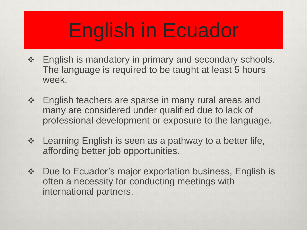# English in Ecuador

- ❖ English is mandatory in primary and secondary schools. The language is required to be taught at least 5 hours week.
- English teachers are sparse in many rural areas and many are considered under qualified due to lack of professional development or exposure to the language.
- ❖ Learning English is seen as a pathway to a better life, affording better job opportunities.
- Due to Ecuador's major exportation business, English is often a necessity for conducting meetings with international partners.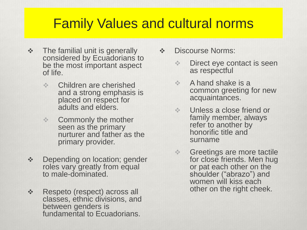### Family Values and cultural norms

- **\*** The familial unit is generally considered by Ecuadorians to be the most important aspect of life.
	- **EXECUTE CHILD EXECUTE:** Children are cherished and a strong emphasis is placed on respect for adults and elders.
	- **❖** Commonly the mother seen as the primary nurturer and father as the primary provider.
- **Depending on location; gender** roles vary greatly from equal to male-dominated.
- Respeto (respect) across all classes, ethnic divisions, and between genders is fundamental to Ecuadorians.
- $\div$  Discourse Norms:
	- **♦ Direct eye contact is seen** as respectful
	- $\triangle$  A hand shake is a common greeting for new acquaintances.
	- **Unless a close friend or** family member, always refer to another by honorific title and surname
	- **♦ Greetings are more tactile** for close friends. Men hug or pat each other on the shoulder ("abrazo") and women will kiss each other on the right cheek.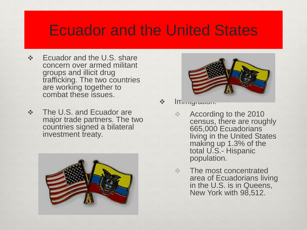### Ecuador and the United States

- ❖ Ecuador and the U.S. share concern over armed militant groups and illicit drug trafficking. The two countries are working together to combat these issues.
- The U.S. and Ecuador are major trade partners. The two countries signed a bilateral investment treaty.





 $\triangle$   $\blacksquare$   $\blacksquare$   $\blacksquare$   $\blacksquare$   $\blacksquare$ 

- **↑ According to the 2010** census, there are roughly 665,000 Ecuadorians living in the United States making up 1.3% of the total U.S.- Hispanic population.
- $\div$  The most concentrated area of Ecuadorians living in the U.S. is in Queens, New York with 98,512.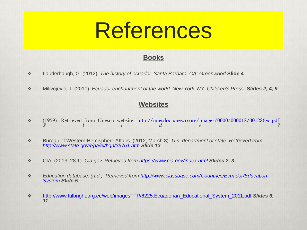#### **Books**

- Lauderbaugh, G. (2012). *The history of ecuador. Santa Barbara, CA: Greenwood* **Slide 4**
- Milivojevic, J. (2010). *Ecuador enchantment of the world. New York, NY: Children's Press. Slides 2, 4, 9*

#### **Websites**

- \* (1959). Retrieved from Unesco website: <http://unesdoc.unesco.org/images/0000/000012/001286eo.pdf> *S l i d e 7*
- Bureau of Western Hemisphere Affairs. (2012, March 8). *U.s. department of state. Retrieved from <http://www.state.gov/r/pa/ei/bgn/35761.htm> Slide 13*
- CIA. (2013, 28 1). *Cia.gov. Retrieved from <https://www.cia.gov/index.html> Slides 2, 3*
- *Education database. (n.d.). Retrieved from [http://www.classbase.com/Countries/Ecuador/Education-](http://www.classbase.com/Countries/Ecuador/Education-System)[System](http://www.classbase.com/Countries/Ecuador/Education-System) Slide 5*
- [http://www.fulbright.org.ec/web/imagesFTP/6225.Ecuadorian\\_Educational\\_System\\_2011.pdf](http://www.fulbright.org.ec/web/imagesFTP/6225.Ecuadorian_Educational_System_2011.pdf) *Slides 6, 11*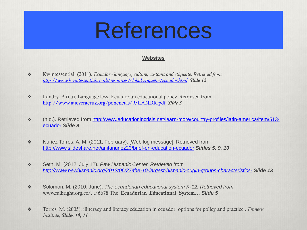#### **Websites**

- Kwintessential. (2011). *Ecuador - language, culture, customs and etiquette. Retrieved from <http://www.kwintessential.co.uk/resources/global-etiquette/ecuador.html> Slide 12*
- Landry, P. (na). Language loss: Ecuadorian educational policy. Retrieved from <http://www.iaieveracruz.org/ponencias/9/LANDR.pdf> *Slide 3*
- (n.d.). Retrieved from [http://www.educationincrisis.net/learn-more/country-profiles/latin-america/item/513](http://www.educationincrisis.net/learn-more/country-profiles/latin-america/item/513-ecuador) [ecuador](http://www.educationincrisis.net/learn-more/country-profiles/latin-america/item/513-ecuador) *Slide 9*
- \* Nuñez Torres, A. M. (2011, February). [Web log message]. Retrieved from <http://www.slideshare.net/anitanunez23/brief-on-education-ecuador> *Slides 5, 9, 10*
- Seth, M. (2012, July 12). *Pew Hispanic Center. Retrieved from <http://www.pewhispanic.org/2012/06/27/the-10-largest-hispanic-origin-groups-characteristics-> Slide 13*
- Solomon, M. (2010, June). *The ecuadorian educational system K-12. Retrieved from*  www.fulbright.org.ec/.../6678.The\_**Ecuadorian\_Educational\_System...** *Slide 5*
- Torres, M. (2005). illiteracy and literacy education in ecuador: options for policy and practice . *Fronesis Institute, Slides 10, 11*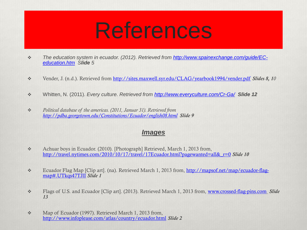- *The education system in ecuador. (2012). Retrieved from [http://www.spainexchange.com/guide/EC](http://www.spainexchange.com/guide/EC-education.htm)[education.htm](http://www.spainexchange.com/guide/EC-education.htm) Slide 5*
- Vender, J. (n.d.). Retrieved from <http://sites.maxwell.syr.edu/CLAG/yearbook1994/vender.pdf> *Slides 8, 10*
- Whitten, N. (2011). *Every culture. Retrieved from <http://www.everyculture.com/Cr-Ga/> Slide 12*
- *Political database of the americas. (2011, Januar 31). Retrieved from <http://pdba.georgetown.edu/Constitutions/Ecuador/english08.html> Slide 9*

#### *Images*

- \* Achuar boys in Ecuador. (2010). [Photograph] Retrieved, March 1, 2013 from, [http://travel.nytimes.com/2010/10/17/travel/17Ecuador.html?pagewanted=all&\\_r=0](http://travel.nytimes.com/2010/10/17/travel/17Ecuador.html?pagewanted=all&_r=0) *Slide 10*
- Ecuador Flag Map [Clip art]. (na). Retrieved March 1, 2013 from, [http://mapsof.net/map/ecuador-flag](http://mapsof.net/map/ecuador-flag-map)[map#.UTkqs47TJlI](http://mapsof.net/map/ecuador-flag-map) *Slide 1*
- Flags of U.S. and Ecuador [Clip art]. (2013). Retrieved March 1, 2013 from, [www.crossed-flag-pins.com](http://www.crossed-flag-pins.com) *Slide 13*
- \* Map of Ecuador (1997). Retrieved March 1, 2013 from, <http://www.infoplease.com/atlas/country/ecuador.html> *Slide 2*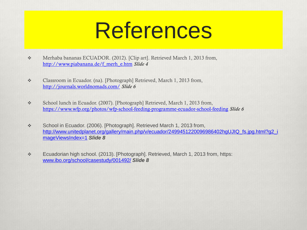- Merhaba bananas ECUADOR. (2012). [Clip art]. Retrieved March 1, 2013 from, [http://www.piabanana.de/f\\_merh\\_e.htm](http://www.piabanana.de/f_merh_e.htm) *Slide 4*
- Classroom in Ecuador. (na). [Photograph] Retrieved, March 1, 2013 from, <http://journals.worldnomads.com/> *Slide 6*
- \* School lunch in Ecuador. (2007). [Photograph] Retrieved, March 1, 2013 from, <https://www.wfp.org/photos/wfp-school-feeding-programme-ecuador-school-feeding> *Slide 6*
- \* School in Ecuador. (2006). [Photograph]. Retrieved March 1, 2013 from, [http://www.unitedplanet.org/gallery/main.php/v/ecuador/2499451220096986402hgUJIQ\\_fs.jpg.html?g2\\_i](http://www.unitedplanet.org/gallery/main.php/v/ecuador/2499451220096986402hgUJIQ_fs.jpg.html?g2_imageViewsIndex=1) [mageViewsIndex=1](http://www.unitedplanet.org/gallery/main.php/v/ecuador/2499451220096986402hgUJIQ_fs.jpg.html?g2_imageViewsIndex=1) *Slide 8*
- Ecuadorian high school. (2013). [Photograph]. Retrieved, March 1, 2013 from, https: [www.ibo.org/school/casestudy/001492/](http://www.ibo.org/school/casestudy/001492/) *Slide 8*